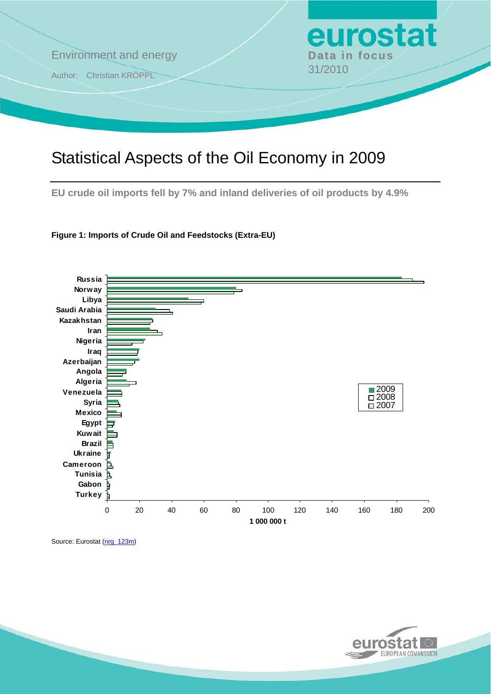

# Statistical Aspects of the Oil Economy in 2009

**EU crude oil imports fell by 7% and inland deliveries of oil products by 4.9%** 





Source: Eurostat [\(nrg\\_123m\)](http://ec.europa.eu/eurostat/product?mode=view&code=nrg_123m)

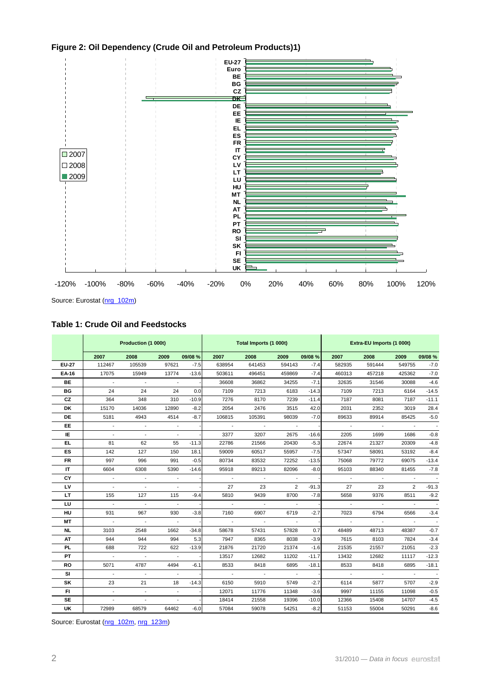



Source: Eurostat ([nrg\\_102m\)](http://ec.europa.eu/eurostat/product?mode=view&code=nrg_102m)

**Table 1: Crude Oil and Feedstocks** 

|              | Production (1 000t)      |                             |                          |         |               | Total Imports (1 000t)   |                |         | Extra-EU Imports (1 000t) |        |                |                          |
|--------------|--------------------------|-----------------------------|--------------------------|---------|---------------|--------------------------|----------------|---------|---------------------------|--------|----------------|--------------------------|
|              | 2007                     | 2008                        | 2009                     | 09/08 % | 2007          | 2008                     | 2009           | 09/08 % | 2007                      | 2008   | 2009           | 09/08 %                  |
| <b>EU-27</b> | 112467                   | 105539                      | 97621                    | $-7.5$  | 638954        | 641453                   | 594143         | $-7.4$  | 582935                    | 591444 | 549755         | $-7.0$                   |
| EA-16        | 17075                    | 15949                       | 13774                    | $-13.6$ | 503611        | 496451                   | 459869         | $-7.4$  | 460313                    | 457218 | 425362         | $-7.0$                   |
| BE.          | $\sim$                   | $\overline{\phantom{a}}$    | $\overline{\phantom{a}}$ |         | 36608         | 36862                    | 34255          | $-7.1$  | 32635                     | 31546  | 30088          | $-4.6$                   |
| <b>BG</b>    | 24                       | 24                          | 24                       | 0.0     | 7109          | 7213                     | 6183           | $-14.3$ | 7109                      | 7213   | 6164           | $-14.5$                  |
| CZ           | 364                      | 348                         | 310                      | $-10.9$ | 7276          | 8170                     | 7239           | $-11.4$ | 7187                      | 8081   | 7187           | $-11.1$                  |
| DK           | 15170                    | 14036                       | 12890                    | $-8.2$  | 2054          | 2476                     | 3515           | 42.0    | 2031                      | 2352   | 3019           | 28.4                     |
| DE           | 5181                     | 4943                        | 4514                     | $-8.7$  | 106815        | 105391                   | 98039          | $-7.0$  | 89633                     | 89914  | 85425          | $-5.0$                   |
| EE.          |                          |                             |                          |         |               |                          |                |         |                           |        |                | $\overline{\phantom{a}}$ |
| IE.          | $\overline{\phantom{a}}$ | $\overline{a}$              |                          |         | 3377          | 3207                     | 2675           | $-16.6$ | 2205                      | 1699   | 1686           | $-0.8$                   |
| EL           | 81                       | 62                          | 55                       | $-11.3$ | 22786         | 21566                    | 20430          | $-5.3$  | 22674                     | 21327  | 20309          | $-4.8$                   |
| ES           | 142                      | 127                         | 150                      | 18.1    | 59009         | 60517                    | 55957          | $-7.5$  | 57347                     | 58091  | 53192          | $-8.4$                   |
| FR           | 997                      | 996                         | 991                      | $-0.5$  | 80734         | 83532                    | 72252          | $-13.5$ | 75068                     | 79772  | 69075          | $-13.4$                  |
| IT           | 6604                     | 6308                        | 5390                     | $-14.6$ | 95918         | 89213                    | 82096          | $-8.0$  | 95103                     | 88340  | 81455          | $-7.8$                   |
| CY           | $\overline{a}$           | $\sim$                      |                          |         | $\sim$        | $\sim$                   |                |         |                           |        |                | $\overline{\phantom{a}}$ |
| LV           | $\overline{\phantom{a}}$ | $\overline{\phantom{a}}$    | $\overline{\phantom{a}}$ |         | 27            | 23                       | $\overline{2}$ | $-91.3$ | 27                        | 23     | $\overline{2}$ | $-91.3$                  |
| LT           | 155                      | 127                         | 115                      | $-9.4$  | 5810          | 9439                     | 8700           | $-7.8$  | 5658                      | 9376   | 8511           | $-9.2$                   |
| LU           | $\sim$                   | $\mathcal{L}_{\mathcal{A}}$ | $\overline{a}$           |         | $\mathcal{L}$ | $\blacksquare$           |                |         |                           |        |                |                          |
| HU           | 931                      | 967                         | 930                      | $-3.8$  | 7160          | 6907                     | 6719           | $-2.7$  | 7023                      | 6794   | 6566           | $-3.4$                   |
| MТ           | $\sim$                   | $\sim$                      |                          |         |               | $\overline{\phantom{a}}$ |                |         |                           |        |                |                          |
| NL.          | 3103                     | 2548                        | 1662                     | $-34.8$ | 58678         | 57431                    | 57828          | 0.7     | 48489                     | 48713  | 48387          | $-0.7$                   |
| AT           | 944                      | 944                         | 994                      | 5.3     | 7947          | 8365                     | 8038           | $-3.9$  | 7615                      | 8103   | 7824           | $-3.4$                   |
| PL.          | 688                      | 722                         | 622                      | $-13.9$ | 21876         | 21720                    | 21374          | $-1.6$  | 21535                     | 21557  | 21051          | $-2.3$                   |
| PТ           | $\overline{\phantom{a}}$ | $\sim$                      |                          |         | 13517         | 12682                    | 11202          | $-11.7$ | 13432                     | 12682  | 11117          | $-12.3$                  |
| RO           | 5071                     | 4787                        | 4494                     | $-6.1$  | 8533          | 8418                     | 6895           | $-18.1$ | 8533                      | 8418   | 6895           | $-18.1$                  |
| SI           |                          |                             |                          |         | $\sim$        | $\sim$                   |                |         |                           |        |                |                          |
| SK           | 23                       | 21                          | 18                       | $-14.3$ | 6150          | 5910                     | 5749           | $-2.7$  | 6114                      | 5877   | 5707           | $-2.9$                   |
| FI.          | $\overline{a}$           | $\overline{\phantom{a}}$    | $\overline{\phantom{a}}$ |         | 12071         | 11776                    | 11348          | $-3.6$  | 9997                      | 11155  | 11098          | $-0.5$                   |
| SE           |                          |                             |                          |         | 18414         | 21558                    | 19396          | $-10.0$ | 12366                     | 15408  | 14707          | $-4.5$                   |
| <b>UK</b>    | 72989                    | 68579                       | 64462                    | $-6.0$  | 57084         | 59078                    | 54251          | $-8.2$  | 51153                     | 55004  | 50291          | $-8.6$                   |

Source: Eurostat ([nrg\\_102m,](http://ec.europa.eu/eurostat/product?mode=view&code=nrg_102m) nrg\_123m)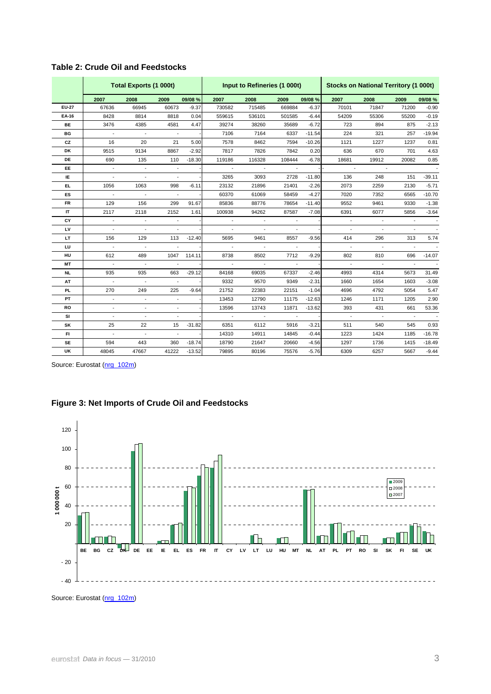|           |                          | Total Exports (1 000t)   |                          |          |                          | Input to Refineries (1 000t) |        |          | <b>Stocks on National Territory (1 000t)</b> |                          |                          |          |
|-----------|--------------------------|--------------------------|--------------------------|----------|--------------------------|------------------------------|--------|----------|----------------------------------------------|--------------------------|--------------------------|----------|
|           | 2007                     | 2008                     | 2009                     | 09/08 %  | 2007                     | 2008                         | 2009   | 09/08 %  | 2007                                         | 2008                     | 2009                     | 09/08 %  |
| EU-27     | 67636                    | 66945                    | 60673                    | $-9.37$  | 730582                   | 715485                       | 669884 | $-6.37$  | 70101                                        | 71847                    | 71200                    | $-0.90$  |
| EA-16     | 8428                     | 8814                     | 8818                     | 0.04     | 559615                   | 536101                       | 501585 | $-6.44$  | 54209                                        | 55306                    | 55200                    | $-0.19$  |
| <b>BE</b> | 3476                     | 4385                     | 4581                     | 4.47     | 39274                    | 38260                        | 35689  | $-6.72$  | 723                                          | 894                      | 875                      | $-2.13$  |
| ВG        | $\overline{\phantom{a}}$ | $\overline{\phantom{a}}$ | $\overline{\phantom{a}}$ |          | 7106                     | 7164                         | 6337   | $-11.54$ | 224                                          | 321                      | 257                      | $-19.94$ |
| CZ        | 16                       | 20                       | 21                       | 5.00     | 7578                     | 8462                         | 7594   | $-10.26$ | 1121                                         | 1227                     | 1237                     | 0.81     |
| <b>DK</b> | 9515                     | 9134                     | 8867                     | $-2.92$  | 7817                     | 7826                         | 7842   | 0.20     | 636                                          | 670                      | 701                      | 4.63     |
| DE        | 690                      | 135                      | 110                      | $-18.30$ | 119186                   | 116328                       | 108444 | $-6.78$  | 18681                                        | 19912                    | 20082                    | 0.85     |
| EE        |                          |                          |                          |          |                          |                              |        |          |                                              |                          |                          |          |
| IE.       |                          |                          |                          |          | 3265                     | 3093                         | 2728   | $-11.80$ | 136                                          | 248                      | 151                      | $-39.11$ |
| EL.       | 1056                     | 1063                     | 998                      | $-6.11$  | 23132                    | 21896                        | 21401  | $-2.26$  | 2073                                         | 2259                     | 2130                     | $-5.71$  |
| ES        | $\blacksquare$           | $\overline{\phantom{a}}$ |                          |          | 60370                    | 61069                        | 58459  | $-4.27$  | 7020                                         | 7352                     | 6565                     | $-10.70$ |
| <b>FR</b> | 129                      | 156                      | 299                      | 91.67    | 85836                    | 88776                        | 78654  | $-11.40$ | 9552                                         | 9461                     | 9330                     | $-1.38$  |
| IT        | 2117                     | 2118                     | 2152                     | 1.61     | 100938                   | 94262                        | 87587  | $-7.08$  | 6391                                         | 6077                     | 5856                     | $-3.64$  |
| CY        |                          |                          |                          |          |                          |                              |        |          |                                              |                          |                          |          |
| LV        |                          | $\overline{a}$           |                          |          |                          |                              |        |          |                                              |                          |                          |          |
| LT        | 156                      | 129                      | 113                      | $-12.40$ | 5695                     | 9461                         | 8557   | $-9.56$  | 414                                          | 296                      | 313                      | 5.74     |
| LU        | $\overline{\phantom{a}}$ | $\overline{\phantom{a}}$ | $\overline{\phantom{a}}$ |          | $\overline{\phantom{a}}$ | $\overline{\phantom{a}}$     |        |          | $\overline{\phantom{a}}$                     | $\overline{\phantom{a}}$ | $\overline{\phantom{a}}$ |          |
| HU        | 612                      | 489                      | 1047                     | 114.11   | 8738                     | 8502                         | 7712   | $-9.29$  | 802                                          | 810                      | 696                      | $-14.07$ |
| MT        |                          |                          | $\blacksquare$           |          |                          | $\overline{a}$               |        |          |                                              |                          |                          |          |
| <b>NL</b> | 935                      | 935                      | 663                      | $-29.12$ | 84168                    | 69035                        | 67337  | $-2.46$  | 4993                                         | 4314                     | 5673                     | 31.49    |
| AT        |                          |                          |                          |          | 9332                     | 9570                         | 9349   | $-2.31$  | 1660                                         | 1654                     | 1603                     | $-3.08$  |
| PL        | 270                      | 249                      | 225                      | $-9.64$  | 21752                    | 22383                        | 22151  | $-1.04$  | 4696                                         | 4792                     | 5054                     | 5.47     |
| PT        | $\overline{\phantom{a}}$ | $\overline{\phantom{a}}$ | $\overline{\phantom{a}}$ |          | 13453                    | 12790                        | 11175  | $-12.63$ | 1246                                         | 1171                     | 1205                     | 2.90     |
| <b>RO</b> |                          |                          |                          |          | 13596                    | 13743                        | 11871  | $-13.62$ | 393                                          | 431                      | 661                      | 53.36    |
| SI        |                          |                          |                          |          |                          |                              |        |          |                                              |                          |                          |          |
| SK        | 25                       | 22                       | 15                       | $-31.82$ | 6351                     | 6112                         | 5916   | $-3.21$  | 511                                          | 540                      | 545                      | 0.93     |
| FI.       |                          |                          | $\overline{a}$           |          | 14310                    | 14911                        | 14845  | $-0.44$  | 1223                                         | 1424                     | 1185                     | $-16.78$ |
| <b>SE</b> | 594                      | 443                      | 360                      | $-18.74$ | 18790                    | 21647                        | 20660  | $-4.56$  | 1297                                         | 1736                     | 1415                     | $-18.49$ |
| UK        | 48045                    | 47667                    | 41222                    | $-13.52$ | 79895                    | 80196                        | 75576  | $-5.76$  | 6309                                         | 6257                     | 5667                     | $-9.44$  |

### **Table 2: Crude Oil and Feedstocks**

Source: Eurostat ([nrg\\_102m\)](http://ec.europa.eu/eurostat/product?mode=view&code=nrg_102m)

### **Figure 3: Net Imports of Crude Oil and Feedstocks**



Source: Eurostat [\(nrg\\_102m\)](http://ec.europa.eu/eurostat/product?mode=view&code=nrg_102m)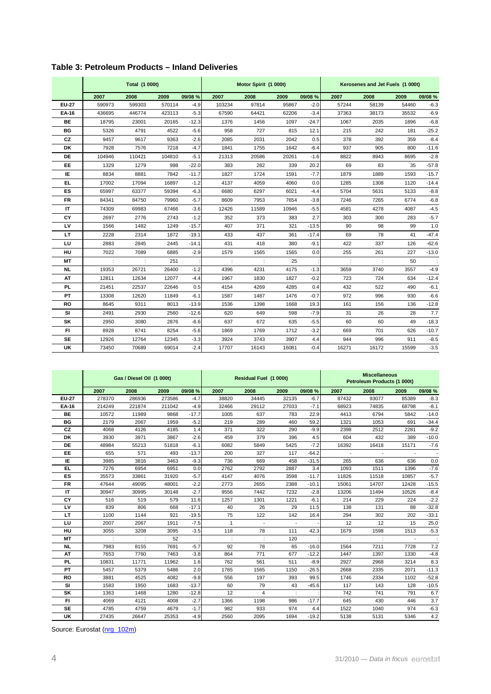| Table 3: Petroleum Products – Inland Deliveries |  |  |
|-------------------------------------------------|--|--|
|-------------------------------------------------|--|--|

|              |        | <b>Total (1 000t)</b> |        |         |        | Motor Spirit (1 000t) |       |         | Kerosenes and Jet Fuels (1 000t) |       |       |         |  |
|--------------|--------|-----------------------|--------|---------|--------|-----------------------|-------|---------|----------------------------------|-------|-------|---------|--|
|              | 2007   | 2008                  | 2009   | 09/08 % | 2007   | 2008                  | 2009  | 09/08 % | 2007                             | 2008  | 2009  | 09/08 % |  |
| <b>EU-27</b> | 590973 | 599303                | 570114 | $-4.9$  | 103234 | 97814                 | 95867 | $-2.0$  | 57244                            | 58139 | 54460 | $-6.3$  |  |
| EA-16        | 436695 | 446774                | 423113 | $-5.3$  | 67590  | 64421                 | 62206 | $-3.4$  | 37363                            | 38173 | 35532 | $-6.9$  |  |
| BE           | 18795  | 23001                 | 20165  | $-12.3$ | 1376   | 1456                  | 1097  | $-24.7$ | 1067                             | 2035  | 1896  | $-6.8$  |  |
| <b>BG</b>    | 5326   | 4791                  | 4522   | $-5.6$  | 958    | 727                   | 815   | 12.1    | 215                              | 242   | 181   | $-25.2$ |  |
| CZ           | 9457   | 9617                  | 9363   | $-2.6$  | 2085   | 2031                  | 2042  | 0.5     | 378                              | 392   | 359   | $-8.4$  |  |
| DK           | 7928   | 7576                  | 7218   | $-4.7$  | 1841   | 1755                  | 1642  | $-6.4$  | 937                              | 905   | 800   | $-11.6$ |  |
| DE           | 104946 | 110421                | 104810 | $-5.1$  | 21313  | 20586                 | 20261 | $-1.6$  | 8822                             | 8943  | 8695  | $-2.8$  |  |
| EE           | 1329   | 1279                  | 998    | $-22.0$ | 383    | 282                   | 339   | 20.2    | 69                               | 83    | 35    | $-57.8$ |  |
| ΙE           | 8834   | 8881                  | 7842   | $-11.7$ | 1827   | 1724                  | 1591  | $-7.7$  | 1879                             | 1889  | 1593  | $-15.7$ |  |
| EL.          | 17002  | 17094                 | 16897  | $-1.2$  | 4137   | 4059                  | 4060  | 0.0     | 1285                             | 1308  | 1120  | $-14.4$ |  |
| ES           | 65997  | 63377                 | 59394  | $-6.3$  | 6680   | 6297                  | 6021  | $-4.4$  | 5704                             | 5631  | 5133  | $-8.8$  |  |
| <b>FR</b>    | 84341  | 84750                 | 79960  | $-5.7$  | 8609   | 7953                  | 7654  | $-3.8$  | 7246                             | 7265  | 6774  | $-6.8$  |  |
| IT           | 74309  | 69983                 | 67466  | $-3.6$  | 12426  | 11589                 | 10946 | $-5.5$  | 4581                             | 4278  | 4087  | $-4.5$  |  |
| CY           | 2697   | 2776                  | 2743   | $-1.2$  | 352    | 373                   | 383   | 2.7     | 303                              | 300   | 283   | $-5.7$  |  |
| LV           | 1566   | 1482                  | 1249   | $-15.7$ | 407    | 371                   | 321   | $-13.5$ | 90                               | 98    | 99    | 1.0     |  |
| LT.          | 2228   | 2314                  | 1872   | $-19.1$ | 433    | 437                   | 361   | $-17.4$ | 69                               | 78    | 41    | $-47.4$ |  |
| LU           | 2883   | 2845                  | 2445   | $-14.1$ | 431    | 418                   | 380   | $-9.1$  | 422                              | 337   | 126   | $-62.6$ |  |
| HU           | 7022   | 7089                  | 6885   | $-2.9$  | 1579   | 1565                  | 1565  | 0.0     | 255                              | 261   | 227   | $-13.0$ |  |
| МT           |        |                       | 251    |         |        |                       | 25    |         |                                  |       | 50    |         |  |
| <b>NL</b>    | 19353  | 26721                 | 26400  | $-1.2$  | 4396   | 4231                  | 4175  | $-1.3$  | 3659                             | 3740  | 3557  | $-4.9$  |  |
| AT           | 12811  | 12634                 | 12077  | $-4.4$  | 1967   | 1830                  | 1827  | $-0.2$  | 723                              | 724   | 634   | $-12.4$ |  |
| PL.          | 21451  | 22537                 | 22646  | 0.5     | 4154   | 4269                  | 4285  | 0.4     | 432                              | 522   | 490   | $-6.1$  |  |
| РT           | 13308  | 12620                 | 11849  | $-6.1$  | 1587   | 1487                  | 1476  | $-0.7$  | 972                              | 996   | 930   | $-6.6$  |  |
| <b>RO</b>    | 8645   | 9311                  | 8013   | $-13.9$ | 1536   | 1398                  | 1668  | 19.3    | 161                              | 156   | 136   | $-12.8$ |  |
| SI           | 2491   | 2930                  | 2560   | $-12.6$ | 620    | 649                   | 598   | $-7.9$  | 31                               | 26    | 28    | 7.7     |  |
| SK           | 2950   | 3080                  | 2876   | $-6.6$  | 637    | 672                   | 635   | $-5.5$  | 60                               | 60    | 49    | $-18.3$ |  |
| FI.          | 8928   | 8741                  | 8254   | $-5.6$  | 1869   | 1769                  | 1712  | $-3.2$  | 669                              | 701   | 626   | $-10.7$ |  |
| <b>SE</b>    | 12926  | 12764                 | 12345  | $-3.3$  | 3924   | 3743                  | 3907  | 4.4     | 944                              | 996   | 911   | $-8.5$  |  |
| <b>UK</b>    | 73450  | 70689                 | 69014  | $-2.4$  | 17707  | 16143                 | 16081 | $-0.4$  | 16271                            | 16172 | 15599 | $-3.5$  |  |

|              | Gas / Diesel Oil (1 000t) |        |        |         |       | Residual Fuel (1 000t) |       |         | <b>Miscellaneous</b><br>Petroleum Products (1 000t) |       |       |         |
|--------------|---------------------------|--------|--------|---------|-------|------------------------|-------|---------|-----------------------------------------------------|-------|-------|---------|
|              | 2007                      | 2008   | 2009   | 09/08 % | 2007  | 2008                   | 2009  | 09/08 % | 2007                                                | 2008  | 2009  | 09/08 % |
| <b>EU-27</b> | 278370                    | 286936 | 273586 | $-4.7$  | 38820 | 34445                  | 32135 | $-6.7$  | 87432                                               | 93077 | 85389 | $-8.3$  |
| EA-16        | 214249                    | 221874 | 211042 | $-4.9$  | 32466 | 29112                  | 27033 | $-7.1$  | 68923                                               | 74835 | 68798 | $-8.1$  |
| BE           | 10572                     | 11989  | 9868   | $-17.7$ | 1005  | 637                    | 783   | 22.9    | 4413                                                | 6794  | 5842  | $-14.0$ |
| BG           | 2179                      | 2067   | 1959   | $-5.2$  | 219   | 289                    | 460   | 59.2    | 1321                                                | 1053  | 691   | $-34.4$ |
| CZ           | 4068                      | 4126   | 4185   | 1.4     | 371   | 322                    | 290   | $-9.9$  | 2398                                                | 2512  | 2281  | $-9.2$  |
| DK           | 3930                      | 3971   | 3867   | $-2.6$  | 459   | 379                    | 396   | 4.5     | 604                                                 | 432   | 389   | $-10.0$ |
| DE           | 48984                     | 55213  | 51818  | $-6.1$  | 6082  | 5849                   | 5425  | $-7.2$  | 16392                                               | 16418 | 15171 | $-7.6$  |
| <b>EE</b>    | 655                       | 571    | 493    | $-13.7$ | 200   | 327                    | 117   | $-64.2$ |                                                     |       |       |         |
| IE.          | 3985                      | 3816   | 3463   | $-9.3$  | 736   | 669                    | 458   | $-31.5$ | 265                                                 | 636   | 636   | 0.0     |
| EL.          | 7276                      | 6954   | 6951   | 0.0     | 2762  | 2792                   | 2887  | 3.4     | 1093                                                | 1511  | 1396  | $-7.6$  |
| ES           | 35573                     | 33861  | 31920  | $-5.7$  | 4147  | 4076                   | 3598  | $-11.7$ | 11826                                               | 11518 | 10857 | $-5.7$  |
| <b>FR</b>    | 47644                     | 49095  | 48001  | $-2.2$  | 2773  | 2655                   | 2388  | $-10.1$ | 15061                                               | 14707 | 12428 | $-15.5$ |
| IT           | 30947                     | 30995  | 30148  | $-2.7$  | 9556  | 7442                   | 7232  | $-2.8$  | 13206                                               | 11494 | 10526 | $-8.4$  |
| CY           | 516                       | 519    | 579    | 11.6    | 1257  | 1301                   | 1221  | $-6.1$  | 214                                                 | 229   | 224   | $-2.2$  |
| LV           | 839                       | 806    | 668    | $-17.1$ | 40    | 26                     | 29    | 11.5    | 138                                                 | 131   | 88    | $-32.8$ |
| LT.          | 1100                      | 1144   | 921    | $-19.5$ | 75    | 122                    | 142   | 16.4    | 294                                                 | 302   | 202   | $-33.1$ |
| LU           | 2007                      | 2067   | 1911   | $-7.5$  | 1     | ٠                      |       |         | 12                                                  | 12    | 15    | 25.0    |
| HU           | 3055                      | 3208   | 3095   | $-3.5$  | 118   | 78                     | 111   | 42.3    | 1679                                                | 1598  | 1513  | $-5.3$  |
| МT           |                           |        | 52     |         |       | $\ddot{\phantom{a}}$   | 120   |         |                                                     |       |       |         |
| <b>NL</b>    | 7983                      | 8155   | 7691   | $-5.7$  | 92    | 78                     | 65    | $-16.0$ | 1564                                                | 7211  | 7728  | 7.2     |
| AT           | 7653                      | 7760   | 7463   | $-3.8$  | 864   | 771                    | 677   | $-12.2$ | 1447                                                | 1397  | 1330  | $-4.8$  |
| PL.          | 10831                     | 11771  | 11962  | 1.6     | 762   | 561                    | 511   | $-8.9$  | 2927                                                | 2968  | 3214  | 8.3     |
| PT           | 5457                      | 5379   | 5486   | 2.0     | 1765  | 1565                   | 1150  | $-26.5$ | 2668                                                | 2335  | 2071  | $-11.3$ |
| <b>RO</b>    | 3881                      | 4525   | 4082   | $-9.8$  | 556   | 197                    | 393   | 99.5    | 1746                                                | 2334  | 1102  | $-52.8$ |
| SI           | 1583                      | 1950   | 1683   | $-13.7$ | 60    | 79                     | 43    | $-45.6$ | 117                                                 | 143   | 128   | $-10.5$ |
| SK           | 1363                      | 1468   | 1280   | $-12.8$ | 12    | 4                      |       |         | 742                                                 | 741   | 791   | 6.7     |
| FI.          | 4069                      | 4121   | 4008   | $-2.7$  | 1366  | 1198                   | 986   | $-17.7$ | 645                                                 | 430   | 446   | 3.7     |
| SE           | 4785                      | 4759   | 4679   | $-1.7$  | 982   | 933                    | 974   | 4.4     | 1522                                                | 1040  | 974   | $-6.3$  |
| <b>UK</b>    | 27435                     | 26647  | 25353  | $-4.9$  | 2560  | 2095                   | 1694  | $-19.2$ | 5138                                                | 5131  | 5346  | 4.2     |

Source: Eurostat (nrg 102m)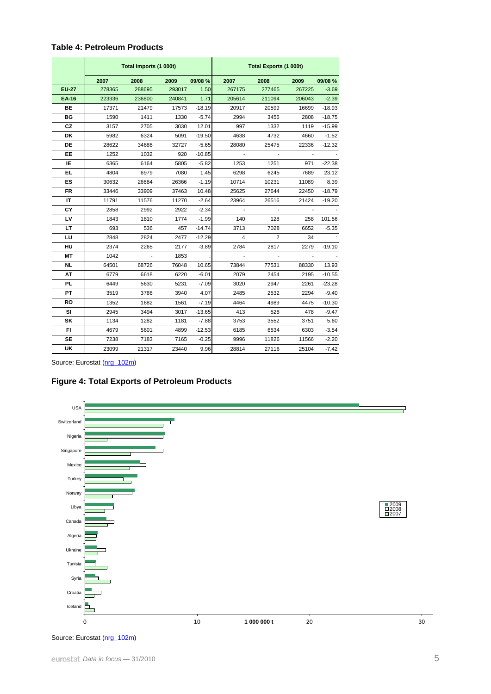|              |        | Total Imports (1 000t) |        |          | <b>Total Exports (1 000t)</b> |                |        |          |  |  |
|--------------|--------|------------------------|--------|----------|-------------------------------|----------------|--------|----------|--|--|
|              | 2007   | 2008                   | 2009   | 09/08 %  | 2007                          | 2008           | 2009   | 09/08 %  |  |  |
| <b>EU-27</b> | 278365 | 288695                 | 293017 | 1.50     | 267175                        | 277465         | 267225 | $-3.69$  |  |  |
| <b>EA-16</b> | 223336 | 236800                 | 240841 | 1.71     | 205614                        | 211094         | 206043 | $-2.39$  |  |  |
| <b>BE</b>    | 17371  | 21479                  | 17573  | $-18.19$ | 20917                         | 20599          | 16699  | $-18.93$ |  |  |
| <b>BG</b>    | 1590   | 1411                   | 1330   | $-5.74$  | 2994                          | 3456           | 2808   | $-18.75$ |  |  |
| CZ           | 3157   | 2705                   | 3030   | 12.01    | 997                           | 1332           | 1119   | $-15.99$ |  |  |
| DK           | 5982   | 6324                   | 5091   | $-19.50$ | 4638                          | 4732           | 4660   | $-1.52$  |  |  |
| <b>DE</b>    | 28622  | 34686                  | 32727  | $-5.65$  | 28080                         | 25475          | 22336  | $-12.32$ |  |  |
| <b>EE</b>    | 1252   | 1032                   | 920    | $-10.85$ |                               |                |        |          |  |  |
| IE           | 6365   | 6164                   | 5805   | $-5.82$  | 1253                          | 1251           | 971    | $-22.38$ |  |  |
| EL.          | 4804   | 6979                   | 7080   | 1.45     | 6298                          | 6245           | 7689   | 23.12    |  |  |
| ES           | 30632  | 26684                  | 26366  | $-1.19$  | 10714                         | 10231          | 11089  | 8.39     |  |  |
| <b>FR</b>    | 33446  | 33909                  | 37463  | 10.48    | 25625                         | 27644          | 22450  | $-18.79$ |  |  |
| IT           | 11791  | 11576                  | 11270  | $-2.64$  | 23964                         | 26516          | 21424  | $-19.20$ |  |  |
| CY           | 2858   | 2992                   | 2922   | $-2.34$  |                               | $\mathbf{r}$   |        |          |  |  |
| LV           | 1843   | 1810                   | 1774   | $-1.99$  | 140                           | 128            | 258    | 101.56   |  |  |
| LT.          | 693    | 536                    | 457    | $-14.74$ | 3713                          | 7028           | 6652   | $-5.35$  |  |  |
| LU           | 2848   | 2824                   | 2477   | $-12.29$ | $\overline{4}$                | $\overline{2}$ | 34     |          |  |  |
| HU           | 2374   | 2265                   | 2177   | $-3.89$  | 2784                          | 2817           | 2279   | $-19.10$ |  |  |
| МT           | 1042   |                        | 1853   |          |                               |                |        |          |  |  |
| NL           | 64501  | 68726                  | 76048  | 10.65    | 73844                         | 77531          | 88330  | 13.93    |  |  |
| AT           | 6779   | 6618                   | 6220   | $-6.01$  | 2079                          | 2454           | 2195   | $-10.55$ |  |  |
| <b>PL</b>    | 6449   | 5630                   | 5231   | $-7.09$  | 3020                          | 2947           | 2261   | $-23.28$ |  |  |
| <b>PT</b>    | 3519   | 3786                   | 3940   | 4.07     | 2485                          | 2532           | 2294   | $-9.40$  |  |  |
| <b>RO</b>    | 1352   | 1682                   | 1561   | $-7.19$  | 4464                          | 4989           | 4475   | $-10.30$ |  |  |
| SI           | 2945   | 3494                   | 3017   | $-13.65$ | 413                           | 528            | 478    | $-9.47$  |  |  |
| SK           | 1134   | 1282                   | 1181   | $-7.88$  | 3753                          | 3552           | 3751   | 5.60     |  |  |
| FI           | 4679   | 5601                   | 4899   | $-12.53$ | 6185                          | 6534           | 6303   | $-3.54$  |  |  |
| <b>SE</b>    | 7238   | 7183                   | 7165   | $-0.25$  | 9996                          | 11826          | 11566  | $-2.20$  |  |  |
| <b>UK</b>    | 23099  | 21317                  | 23440  | 9.96     | 28814                         | 27116          | 25104  | $-7.42$  |  |  |

Source: Eurostat [\(nrg\\_102m\)](http://ec.europa.eu/eurostat/product?mode=view&code=nrg_102m)





Source: Eurostat [\(nrg\\_102m\)](http://ec.europa.eu/eurostat/product?mode=view&code=nrg_102m)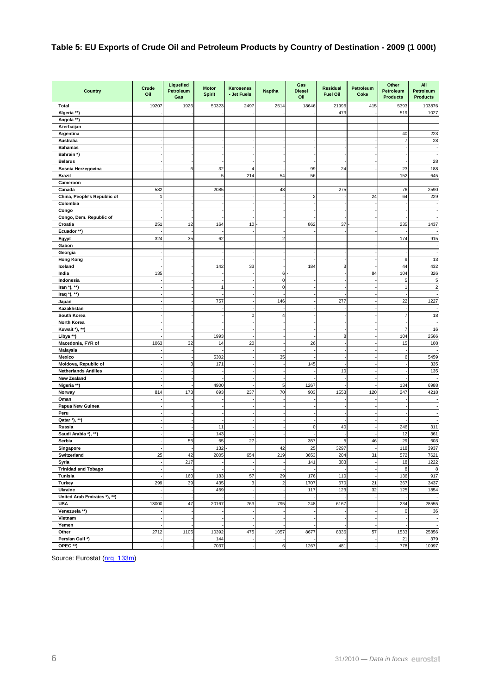### **Table 5: EU Exports of Crude Oil and Petroleum Products by Country of Destination - 2009 (1 000t)**

| <b>Country</b>               | Crude<br>Oil | Liquefied<br>Petroleum<br>Gas | <b>Motor</b><br><b>Spirit</b> | Kerosenes<br>- Jet Fuels | <b>Naptha</b>  | Gas<br><b>Diesel</b><br>Oil | <b>Residual</b><br><b>Fuel Oil</b> | Petroleum<br>Coke | Other<br>Petroleum<br><b>Products</b> | All<br>Petroleum<br><b>Products</b> |
|------------------------------|--------------|-------------------------------|-------------------------------|--------------------------|----------------|-----------------------------|------------------------------------|-------------------|---------------------------------------|-------------------------------------|
| <b>Total</b>                 | 19207        | 1926                          | 50323                         | 2497                     | 2514           | 18646                       | 21996                              | 415               | 5393                                  | 103876                              |
| Algeria **)                  |              |                               |                               |                          |                |                             | 473                                |                   | 519                                   | 1027                                |
| Angola **)                   |              |                               |                               |                          |                |                             |                                    |                   |                                       |                                     |
| Azerbaijan                   |              |                               |                               |                          |                |                             |                                    |                   |                                       | $\sim$                              |
| Argentina                    |              |                               |                               |                          |                |                             |                                    |                   | 40                                    | 223                                 |
| <b>Australia</b>             |              |                               |                               |                          |                |                             |                                    |                   | 7                                     | 28                                  |
| <b>Bahamas</b>               |              |                               |                               |                          |                |                             |                                    |                   |                                       | $\overline{\phantom{a}}$            |
| Bahrain *)                   |              |                               |                               |                          |                |                             |                                    |                   |                                       | $\overline{\phantom{a}}$            |
| <b>Belarus</b>               |              |                               |                               |                          |                |                             |                                    |                   |                                       | 28                                  |
| Bosnia Herzegovina           |              | 6                             | 32                            | $\boldsymbol{\Delta}$    |                | 99                          | 24                                 |                   | 23                                    | 188                                 |
| <b>Brazil</b>                |              |                               | 5                             | 214                      | 54             | 56                          |                                    |                   | 152                                   | 645                                 |
| Cameroon                     |              |                               |                               |                          |                |                             |                                    |                   |                                       | $\overline{\phantom{a}}$            |
| Canada                       | 582          |                               | 2085                          |                          | 48             |                             | 275                                |                   | 76                                    | 2590                                |
| China, People's Republic of  | f            |                               |                               |                          |                | $\overline{2}$              |                                    | 24                | 64                                    | 229                                 |
| Colombia                     |              |                               |                               |                          |                |                             |                                    |                   |                                       | $\sim$                              |
| Congo                        |              |                               |                               |                          |                |                             |                                    |                   |                                       | $\sim$                              |
| Congo, Dem. Republic of      |              |                               |                               |                          |                |                             |                                    |                   |                                       | ×                                   |
| Croatia                      | 251          | 12                            | 164                           | 10                       |                | 862                         | 37                                 |                   | 235                                   | 1437                                |
| Ecuador **)                  |              |                               |                               |                          |                |                             |                                    |                   |                                       | $\overline{\phantom{a}}$            |
| Egypt                        | 324          | 35                            | 62                            |                          | 2              |                             |                                    |                   | 174                                   | 915                                 |
| Gabon                        |              |                               |                               |                          |                |                             |                                    |                   |                                       | $\sim$                              |
| Georgia                      |              |                               |                               |                          |                |                             |                                    |                   |                                       | $\sim$                              |
| <b>Hong Kong</b>             |              |                               |                               |                          |                |                             |                                    |                   | 9                                     | 13                                  |
| Iceland                      |              |                               | 142                           | 33                       |                | 184                         | 3                                  |                   | 44                                    | 432                                 |
| India                        | 135          |                               |                               |                          | 6              |                             |                                    | 84                | 104                                   | 326                                 |
| Indonesia                    |              |                               |                               |                          | 0              |                             |                                    |                   | 5                                     | 5                                   |
| Iran *), **)                 |              |                               |                               |                          | $\mathbf 0$    |                             |                                    |                   |                                       | $\mathbf 2$                         |
| Iraq $*$ ), $**$ )           |              |                               |                               |                          |                |                             |                                    |                   |                                       | $\overline{\phantom{a}}$            |
|                              |              |                               |                               |                          |                |                             |                                    |                   |                                       |                                     |
| Japan                        |              |                               | 757                           |                          | 146            |                             | 277                                |                   | 22                                    | 1227                                |
| Kazakhstan                   |              |                               |                               |                          |                |                             |                                    |                   |                                       | $\overline{\phantom{a}}$            |
| South Korea                  |              |                               |                               | $\Omega$                 | 4              |                             |                                    |                   | 7                                     | 18                                  |
| North Korea                  |              |                               |                               |                          |                |                             |                                    |                   |                                       | ÷,                                  |
| Kuwait *), **)               |              |                               |                               |                          |                |                             |                                    |                   | 7                                     | 16                                  |
| Libya **)                    |              |                               | 1993                          |                          |                |                             | 8                                  |                   | 104                                   | 2566                                |
| Macedonia, FYR of            | 1063         | 32                            | 14                            | 20                       |                | 26                          |                                    |                   | 15                                    | 108                                 |
| <b>Malaysia</b>              |              |                               |                               |                          |                |                             |                                    |                   |                                       | $\overline{\phantom{a}}$            |
| Mexico                       |              |                               | 5302                          |                          | 35             |                             |                                    |                   | 6                                     | 5459                                |
| Moldova, Republic of         |              | З                             | 171                           |                          |                | 145                         |                                    |                   |                                       | 335                                 |
| <b>Netherlands Antilles</b>  |              |                               |                               |                          |                |                             | 10                                 |                   |                                       | 135                                 |
| <b>New Zealand</b>           |              |                               |                               |                          |                |                             |                                    |                   |                                       | ÷,                                  |
| Nigeria **)                  |              |                               | 4900                          |                          | 5              | 1267                        |                                    |                   | 134                                   | 6988                                |
| Norway                       | 814          | 173                           | 693                           | 237                      | 70             | 903                         | 1553                               | 120               | 247                                   | 4218                                |
| Oman                         |              |                               |                               |                          |                |                             |                                    |                   |                                       | ÷                                   |
| Papua New Guinea             |              |                               |                               |                          |                |                             |                                    |                   |                                       | $\sim$                              |
| Peru                         |              |                               |                               |                          |                |                             |                                    |                   |                                       | ×,                                  |
| Qatar *), **)                |              |                               |                               |                          |                |                             |                                    |                   |                                       | $\overline{\phantom{a}}$            |
| Russia                       |              |                               | 11                            |                          |                | $\mathbf 0$                 | 40                                 |                   | 246                                   | 311                                 |
| Saudi Arabia *), **)         |              |                               | 143                           |                          |                |                             |                                    |                   | 12                                    | 361                                 |
| Serbia                       |              | 55                            | 65                            | 27                       |                | 357                         | 5                                  | 46                | 29                                    | 603                                 |
| Singapore                    |              |                               | 132                           |                          | 42             | 25                          | 3297                               |                   | 118                                   | 3937                                |
| Switzerland                  | 25           | 42                            | 2005                          | 654                      | 219            | 3653                        | 204                                | 31                | 572                                   | 7621                                |
| Syria                        |              | 217                           |                               |                          |                | 141                         | 383                                |                   | 18                                    | 1222                                |
| <b>Trinidad and Tobago</b>   |              |                               |                               |                          |                |                             |                                    |                   | 8                                     | 8                                   |
| Tunisia                      |              | 160                           | 183                           | 57                       | 29             | 176                         | 110                                |                   | 136                                   | 917                                 |
| <b>Turkey</b>                | 299          | 39                            | 435                           | 3                        | $\overline{c}$ | 1707                        | 670                                | 21                | 367                                   | 3437                                |
| Ukraine                      |              |                               | 469                           |                          |                | 117                         | 123                                | 32                | 125                                   | 1854                                |
| United Arab Emirates *), **) |              |                               |                               |                          |                |                             |                                    |                   |                                       | $\sim$                              |
| <b>USA</b>                   | 13000        | 47                            | 20167                         | 763                      | 795            | 248                         | 6167                               |                   | 234                                   | 28555                               |
| Venezuela **)                |              |                               |                               |                          |                |                             |                                    |                   | $\Omega$                              | 36                                  |
| Vietnam                      |              |                               |                               |                          |                |                             |                                    |                   |                                       | $\overline{\phantom{a}}$            |
| Yemen                        |              |                               |                               |                          |                |                             |                                    |                   |                                       | ÷.                                  |
| Other                        | 2712         | 1105                          | 10392                         | 475                      | 1057           | 8677                        | 8336                               | 57                | 1533                                  | 25856                               |
| Persian Gulf *)              |              |                               | 144                           |                          |                |                             |                                    |                   | 21                                    | 379                                 |
| OPEC **)                     |              |                               | 7037                          |                          | 6              | 1267                        | 481                                |                   | 778                                   | 10997                               |

Source: Eurostat (nrg 133m)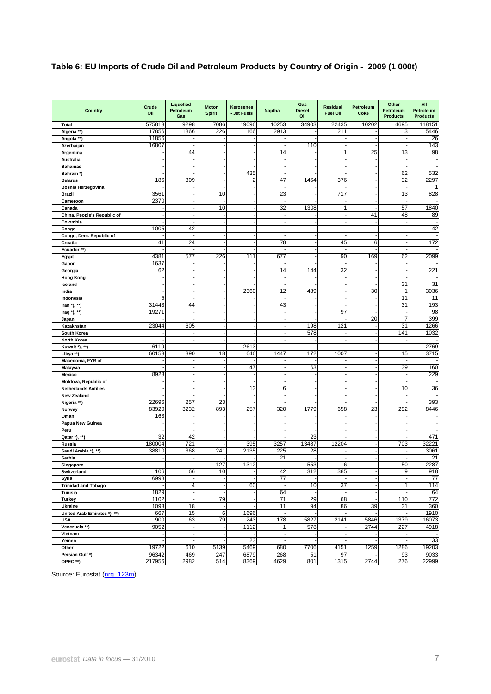## **Table 6: EU Imports of Crude Oil and Petroleum Products by Country of Origin - 2009 (1 000t)**

| Country                            | Crude<br>Oil | Liquefied<br>Petroleum<br>Gas | <b>Motor</b><br><b>Spirit</b> | <b>Kerosenes</b><br>- Jet Fuels | <b>Naptha</b> | Gas<br><b>Diesel</b><br>Oil | <b>Residual</b><br><b>Fuel Oil</b> | Petroleum<br>Coke | Other<br>Petroleum<br><b>Products</b> | All<br>Petroleum<br><b>Products</b> |
|------------------------------------|--------------|-------------------------------|-------------------------------|---------------------------------|---------------|-----------------------------|------------------------------------|-------------------|---------------------------------------|-------------------------------------|
| Total                              | 575813       | 9298                          | 7086                          | 19096                           | 10253         | 34903                       | 22435                              | 10202             | 4695                                  | 118151                              |
| Algeria **)                        | 17856        | 1866                          | 226                           | 166                             | 2913          |                             | 211                                |                   | 3                                     | 5446                                |
| Angola **)                         | 11856        |                               |                               |                                 |               |                             |                                    |                   |                                       | 26                                  |
| Azerbaijan                         | 16807        |                               |                               |                                 |               | 110                         |                                    |                   |                                       | 143                                 |
| Argentina                          |              | 44                            |                               |                                 | 14            |                             |                                    | 25                | 13                                    | 98                                  |
| Australia                          |              |                               |                               |                                 |               |                             |                                    |                   |                                       | $\sim$                              |
| <b>Bahamas</b>                     |              |                               |                               |                                 |               |                             |                                    |                   |                                       | $\sim$                              |
| Bahrain *)                         |              |                               |                               | 435                             |               |                             |                                    |                   | 62                                    | 532                                 |
| <b>Belarus</b>                     | 186          | 309                           |                               | $\overline{2}$                  | 47            | 1464                        | 376                                |                   | 32                                    | 2297                                |
| Bosnia Herzegovina                 |              |                               |                               |                                 |               |                             |                                    |                   |                                       | $\mathbf{1}$                        |
| Brazil                             | 3561         |                               | 10                            |                                 | 23            |                             | 717                                |                   | 13                                    | 828                                 |
| Cameroon                           | 2370         |                               |                               |                                 |               |                             |                                    |                   |                                       |                                     |
| Canada                             |              |                               | 10                            |                                 | 32            | 1308                        | 1                                  |                   | 57                                    | 1840                                |
| China, People's Republic of        |              |                               |                               |                                 |               |                             |                                    | 41                | 48                                    | 89                                  |
| Colombia                           |              |                               |                               |                                 |               |                             |                                    |                   |                                       | 42                                  |
| Congo                              | 1005         | 42                            |                               |                                 |               |                             |                                    |                   |                                       |                                     |
| Congo, Dem. Republic of<br>Croatia | 41           | 24                            |                               |                                 | 78            |                             | 45                                 | 6                 |                                       | 172                                 |
|                                    |              |                               |                               |                                 |               |                             |                                    |                   |                                       | ÷                                   |
| Ecuador **)                        | 4381         | 577                           | 226                           | 111                             | 677           |                             | 90                                 | 169               | 62                                    | 2099                                |
| Egypt<br>Gabon                     | 1637         |                               |                               |                                 |               |                             |                                    |                   |                                       |                                     |
| Georgia                            | 62           |                               |                               |                                 | 14            | 144                         | 32                                 |                   |                                       | 221                                 |
| <b>Hong Kong</b>                   |              |                               |                               |                                 |               |                             |                                    |                   |                                       |                                     |
| Iceland                            |              |                               |                               |                                 |               |                             |                                    |                   | 31                                    | 31                                  |
| India                              |              |                               |                               | 2360                            | 12            | 439                         |                                    | 30                |                                       | 3036                                |
| Indonesia                          | 5            |                               |                               |                                 |               |                             |                                    |                   | 11                                    | 11                                  |
| Iran *), **)                       | 31443        | 44                            |                               |                                 | 43            |                             |                                    |                   | 31                                    | 193                                 |
| Iraq *), **)                       | 19271        |                               |                               |                                 |               |                             | 97                                 |                   |                                       | 98                                  |
| Japan                              |              |                               |                               |                                 |               |                             |                                    | 20                | 7                                     | 399                                 |
| Kazakhstan                         | 23044        | 605                           |                               |                                 |               | 198                         | 121                                |                   | 31                                    | 1266                                |
| South Korea                        |              |                               |                               |                                 |               | 578                         |                                    |                   | 141                                   | 1032                                |
| North Korea                        |              |                               |                               |                                 |               |                             |                                    |                   |                                       |                                     |
| Kuwait *), **)                     | 6119         |                               |                               | 2613                            |               |                             |                                    |                   |                                       | 2769                                |
| Libya **)                          | 60153        | 390                           | 18                            | 646                             | 1447          | 172                         | 1007                               |                   | 15                                    | 3715                                |
| Macedonia, FYR of                  |              |                               |                               |                                 |               |                             |                                    |                   |                                       |                                     |
| <b>Malaysia</b>                    |              |                               |                               | 47                              |               | 63                          |                                    |                   | 39                                    | 160                                 |
| Mexico                             | 8923         |                               |                               |                                 |               |                             |                                    |                   |                                       | 229                                 |
| Moldova, Republic of               |              |                               |                               |                                 |               |                             |                                    |                   |                                       |                                     |
| <b>Netherlands Antilles</b>        |              |                               |                               | 13                              | 6             |                             |                                    |                   | 10                                    | 36                                  |
| <b>New Zealand</b>                 |              |                               |                               |                                 |               |                             |                                    |                   |                                       |                                     |
| Nigeria **)                        | 22696        | 257                           | 23                            |                                 |               |                             |                                    |                   |                                       | 393                                 |
| Norway                             | 83920        | 3232                          | 893                           | 257                             | 320           | 1779                        | 658                                | 23                | 292                                   | 8446                                |
| Oman                               | 163          |                               |                               |                                 |               |                             |                                    |                   |                                       |                                     |
| Papua New Guinea                   |              |                               |                               |                                 |               |                             |                                    |                   |                                       | $\blacksquare$                      |
| Peru                               | 32           | 42                            |                               |                                 |               | 23                          |                                    |                   |                                       | 471                                 |
| Qatar *), **)<br>Russia            | 180004       | 721                           |                               | 395                             | 3257          | 13487                       | 12204                              |                   | 703                                   | 32221                               |
| Saudi Arabia *), **)               | 38810        | 368                           | 241                           | 2135                            | 225           | 28                          |                                    |                   |                                       | 3061                                |
| Serbia                             |              |                               |                               |                                 | 21            |                             |                                    |                   |                                       | 21                                  |
| Singapore                          |              |                               | 127                           | 1312                            |               | 553                         | 6                                  |                   | 50                                    | 2287                                |
| Switzerland                        | 106          | 66                            | 10                            |                                 | 42            | 312                         | 385                                |                   | $\overline{9}$                        | 918                                 |
| Syria                              | 6998         |                               |                               |                                 | 77            |                             |                                    |                   |                                       | 77                                  |
| <b>Trinidad and Tobago</b>         |              | $\overline{4}$                |                               | 60                              |               | 10                          | 37                                 |                   | 1                                     | 114                                 |
| Tunisia                            | 1829         |                               |                               |                                 | 64            |                             |                                    |                   |                                       | 64                                  |
| <b>Turkey</b>                      | 1102         |                               | 79                            |                                 | 71            | 29                          | 68                                 |                   | 110                                   | 772                                 |
| Ukraine                            | 1093         | 18                            |                               |                                 | 11            | 94                          | 86                                 | 39                | 31                                    | 360                                 |
| United Arab Emirates *), **)       | 667          | 15                            | 6                             | 1696                            |               |                             |                                    |                   |                                       | 1910                                |
| <b>USA</b>                         | 900          | 63                            | 79                            | 243                             | 178           | 5827                        | 2141                               | 5846              | 1379                                  | 16073                               |
| Venezuela **)                      | 9052         |                               |                               | 1112                            | 1             | 578                         |                                    | 2744              | 227                                   | 4918                                |
| Vietnam                            |              |                               |                               |                                 |               |                             |                                    |                   |                                       |                                     |
| Yemen                              |              |                               |                               | 23                              |               |                             |                                    |                   |                                       | 33                                  |
| Other                              | 19722        | 610                           | 5139                          | 5469                            | 680           | 7706                        | 4151                               | 1259              | 1286                                  | 19203                               |
| Persian Gulf*)                     | 96342        | 469                           | 247                           | 6879                            | 268           | 51                          | 97                                 |                   | 93                                    | 9033                                |
| OPEC **)                           | 217956       | 2982                          | 514                           | 8369                            | 4629          | 801                         | 1315                               | 2744              | 276                                   | 22999                               |

Source: Eurostat (nrg 123m)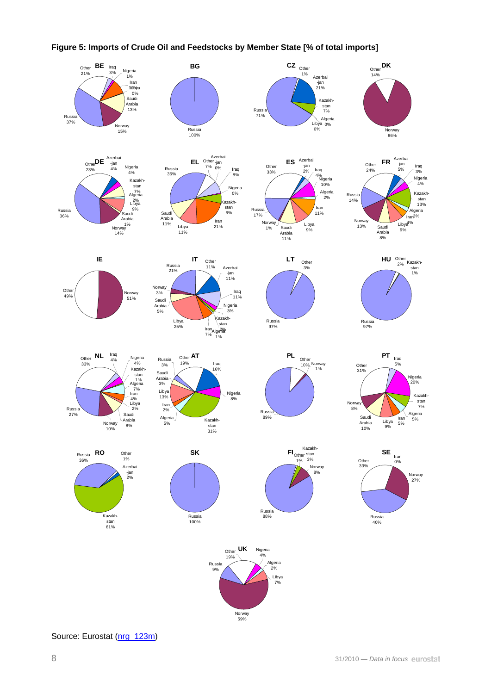

### **Figure 5: Imports of Crude Oil and Feedstocks by Member State [% of total imports]**

Source: Eurostat ([nrg\\_123m\)](http://ec.europa.eu/eurostat/product?mode=view&code=nrg_123m)